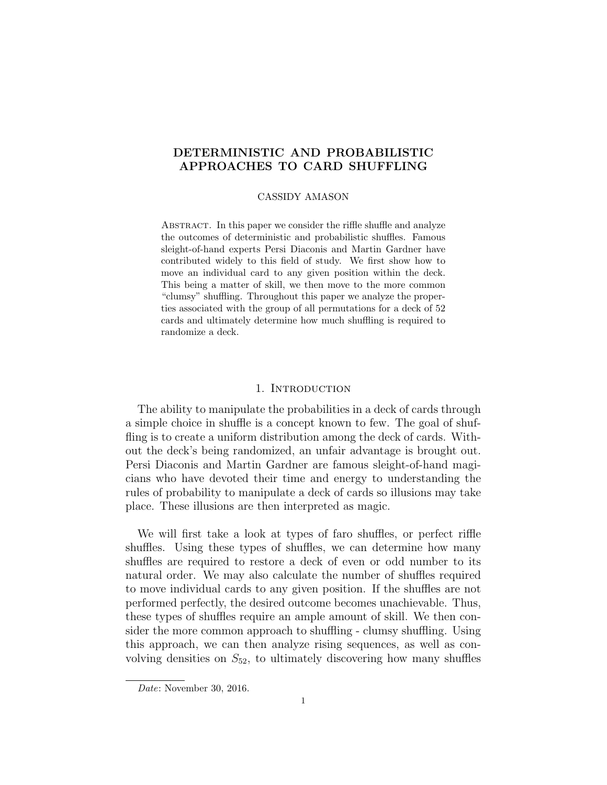# DETERMINISTIC AND PROBABILISTIC APPROACHES TO CARD SHUFFLING

## CASSIDY AMASON

ABSTRACT. In this paper we consider the riffle shuffle and analyze the outcomes of deterministic and probabilistic shuffles. Famous sleight-of-hand experts Persi Diaconis and Martin Gardner have contributed widely to this field of study. We first show how to move an individual card to any given position within the deck. This being a matter of skill, we then move to the more common "clumsy" shuffling. Throughout this paper we analyze the properties associated with the group of all permutations for a deck of 52 cards and ultimately determine how much shuffling is required to randomize a deck.

## 1. INTRODUCTION

The ability to manipulate the probabilities in a deck of cards through a simple choice in shuffle is a concept known to few. The goal of shuffling is to create a uniform distribution among the deck of cards. Without the deck's being randomized, an unfair advantage is brought out. Persi Diaconis and Martin Gardner are famous sleight-of-hand magicians who have devoted their time and energy to understanding the rules of probability to manipulate a deck of cards so illusions may take place. These illusions are then interpreted as magic.

We will first take a look at types of faro shuffles, or perfect riffle shuffles. Using these types of shuffles, we can determine how many shuffles are required to restore a deck of even or odd number to its natural order. We may also calculate the number of shuffles required to move individual cards to any given position. If the shuffles are not performed perfectly, the desired outcome becomes unachievable. Thus, these types of shuffles require an ample amount of skill. We then consider the more common approach to shuffling - clumsy shuffling. Using this approach, we can then analyze rising sequences, as well as convolving densities on  $S_{52}$ , to ultimately discovering how many shuffles

Date: November 30, 2016.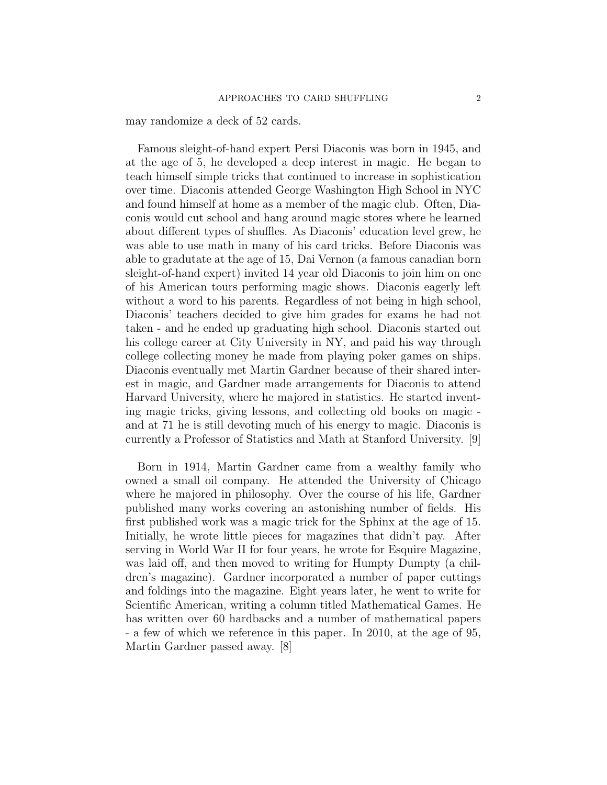may randomize a deck of 52 cards.

Famous sleight-of-hand expert Persi Diaconis was born in 1945, and at the age of 5, he developed a deep interest in magic. He began to teach himself simple tricks that continued to increase in sophistication over time. Diaconis attended George Washington High School in NYC and found himself at home as a member of the magic club. Often, Diaconis would cut school and hang around magic stores where he learned about different types of shuffles. As Diaconis' education level grew, he was able to use math in many of his card tricks. Before Diaconis was able to gradutate at the age of 15, Dai Vernon (a famous canadian born sleight-of-hand expert) invited 14 year old Diaconis to join him on one of his American tours performing magic shows. Diaconis eagerly left without a word to his parents. Regardless of not being in high school, Diaconis' teachers decided to give him grades for exams he had not taken - and he ended up graduating high school. Diaconis started out his college career at City University in NY, and paid his way through college collecting money he made from playing poker games on ships. Diaconis eventually met Martin Gardner because of their shared interest in magic, and Gardner made arrangements for Diaconis to attend Harvard University, where he majored in statistics. He started inventing magic tricks, giving lessons, and collecting old books on magic and at 71 he is still devoting much of his energy to magic. Diaconis is currently a Professor of Statistics and Math at Stanford University. [9]

Born in 1914, Martin Gardner came from a wealthy family who owned a small oil company. He attended the University of Chicago where he majored in philosophy. Over the course of his life, Gardner published many works covering an astonishing number of fields. His first published work was a magic trick for the Sphinx at the age of 15. Initially, he wrote little pieces for magazines that didn't pay. After serving in World War II for four years, he wrote for Esquire Magazine, was laid off, and then moved to writing for Humpty Dumpty (a children's magazine). Gardner incorporated a number of paper cuttings and foldings into the magazine. Eight years later, he went to write for Scientific American, writing a column titled Mathematical Games. He has written over 60 hardbacks and a number of mathematical papers - a few of which we reference in this paper. In 2010, at the age of 95, Martin Gardner passed away. [8]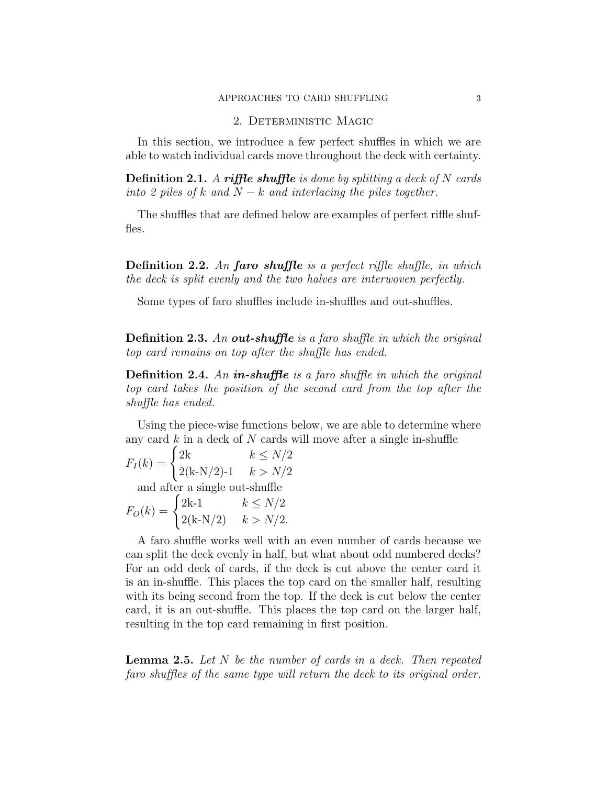## APPROACHES TO CARD SHUFFLING 3

## 2. Deterministic Magic

In this section, we introduce a few perfect shuffles in which we are able to watch individual cards move throughout the deck with certainty.

**Definition 2.1.** A riffle shuffle is done by splitting a deck of N cards into 2 piles of k and  $N - k$  and interlacing the piles together.

The shuffles that are defined below are examples of perfect riffle shuffles.

**Definition 2.2.** An **faro shuffle** is a perfect riffle shuffle, in which the deck is split evenly and the two halves are interwoven perfectly.

Some types of faro shuffles include in-shuffles and out-shuffles.

**Definition 2.3.** An out-shuffle is a faro shuffle in which the original top card remains on top after the shuffle has ended.

**Definition 2.4.** An in-shuffle is a faro shuffle in which the original top card takes the position of the second card from the top after the shuffle has ended.

Using the piece-wise functions below, we are able to determine where any card  $k$  in a deck of  $N$  cards will move after a single in-shuffle

$$
F_I(k) = \begin{cases} 2k & k \le N/2 \\ 2(k - N/2) - 1 & k > N/2 \end{cases}
$$

and after a single out-shuffle

$$
F_O(k) = \begin{cases} 2k - 1 & k \le N/2 \\ 2(k - N/2) & k > N/2. \end{cases}
$$

A faro shuffle works well with an even number of cards because we can split the deck evenly in half, but what about odd numbered decks? For an odd deck of cards, if the deck is cut above the center card it is an in-shuffle. This places the top card on the smaller half, resulting with its being second from the top. If the deck is cut below the center card, it is an out-shuffle. This places the top card on the larger half, resulting in the top card remaining in first position.

**Lemma 2.5.** Let  $N$  be the number of cards in a deck. Then repeated faro shuffles of the same type will return the deck to its original order.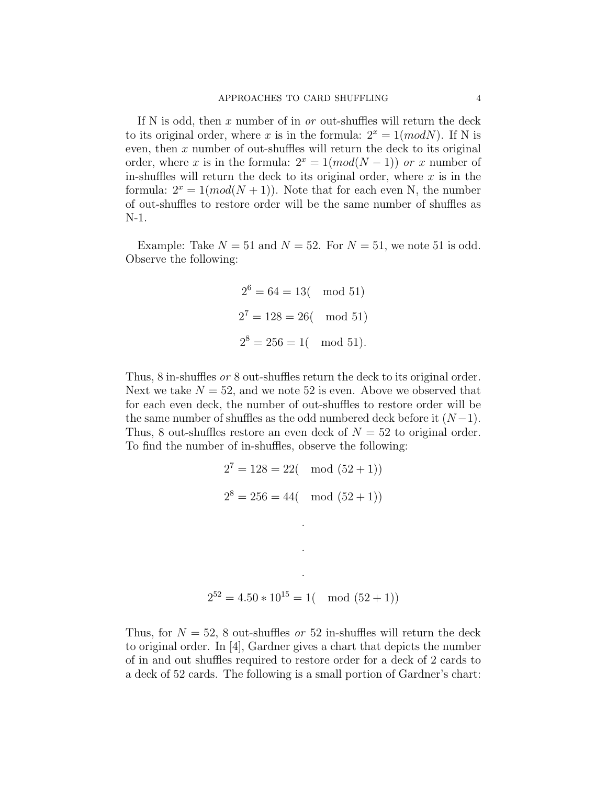If N is odd, then x number of in  $or$  out-shuffles will return the deck to its original order, where x is in the formula:  $2^x = 1 \pmod{N}$ . If N is even, then  $x$  number of out-shuffles will return the deck to its original order, where x is in the formula:  $2^x = 1 (mod(N-1))$  or x number of in-shuffles will return the deck to its original order, where  $x$  is in the formula:  $2^x = 1 \pmod{N+1}$ . Note that for each even N, the number of out-shuffles to restore order will be the same number of shuffles as N-1.

Example: Take  $N = 51$  and  $N = 52$ . For  $N = 51$ , we note 51 is odd. Observe the following:

$$
2^6 = 64 = 13
$$
 (mod 51)  
 $2^7 = 128 = 26$  (mod 51)  
 $2^8 = 256 = 1$  (mod 51).

Thus, 8 in-shuffles or 8 out-shuffles return the deck to its original order. Next we take  $N = 52$ , and we note 52 is even. Above we observed that for each even deck, the number of out-shuffles to restore order will be the same number of shuffles as the odd numbered deck before it  $(N-1)$ . Thus, 8 out-shuffles restore an even deck of  $N = 52$  to original order. To find the number of in-shuffles, observe the following:

$$
27 = 128 = 22 \pmod{(52+1)}
$$
  
 
$$
28 = 256 = 44 \pmod{(52+1)}
$$

$$
2^{52} = 4.50 \times 10^{15} = 1 \pmod{52+1}
$$

Thus, for  $N = 52$ , 8 out-shuffles *or* 52 in-shuffles will return the deck to original order. In [4], Gardner gives a chart that depicts the number of in and out shuffles required to restore order for a deck of 2 cards to a deck of 52 cards. The following is a small portion of Gardner's chart: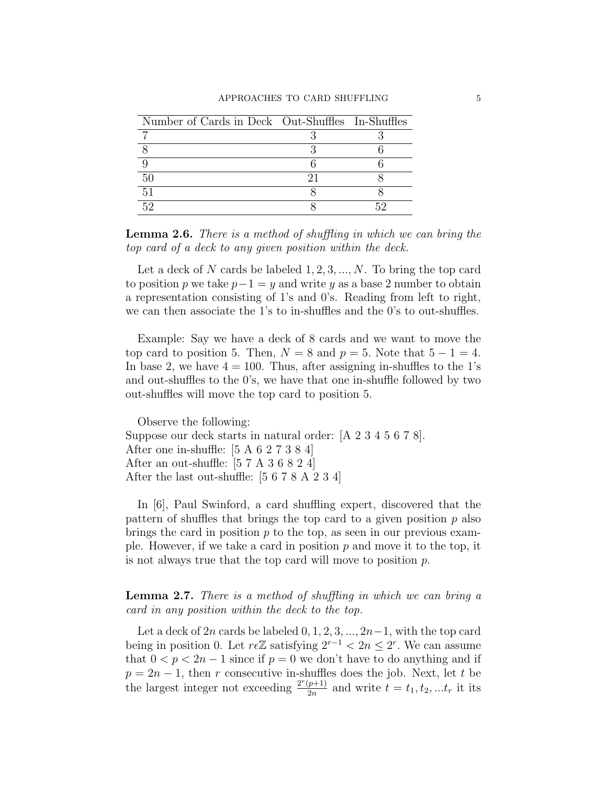| Number of Cards in Deck Out-Shuffles In-Shuffles |  |
|--------------------------------------------------|--|
|                                                  |  |
|                                                  |  |
|                                                  |  |
| 50                                               |  |
| 51                                               |  |
| 59                                               |  |

Lemma 2.6. There is a method of shuffling in which we can bring the top card of a deck to any given position within the deck.

Let a deck of N cards be labeled  $1, 2, 3, ..., N$ . To bring the top card to position p we take  $p-1 = y$  and write y as a base 2 number to obtain a representation consisting of 1's and 0's. Reading from left to right, we can then associate the 1's to in-shuffles and the 0's to out-shuffles.

Example: Say we have a deck of 8 cards and we want to move the top card to position 5. Then,  $N = 8$  and  $p = 5$ . Note that  $5 - 1 = 4$ . In base 2, we have  $4 = 100$ . Thus, after assigning in-shuffles to the 1's and out-shuffles to the 0's, we have that one in-shuffle followed by two out-shuffles will move the top card to position 5.

Observe the following: Suppose our deck starts in natural order: [A 2 3 4 5 6 7 8]. After one in-shuffle: [5 A 6 2 7 3 8 4] After an out-shuffle: [5 7 A 3 6 8 2 4] After the last out-shuffle: [5 6 7 8 A 2 3 4]

In [6], Paul Swinford, a card shuffling expert, discovered that the pattern of shuffles that brings the top card to a given position  $p$  also brings the card in position  $p$  to the top, as seen in our previous example. However, if we take a card in position  $p$  and move it to the top, it is not always true that the top card will move to position  $p$ .

Lemma 2.7. There is a method of shuffling in which we can bring a card in any position within the deck to the top.

Let a deck of 2n cards be labeled  $0, 1, 2, 3, ..., 2n-1$ , with the top card being in position 0. Let  $r \in \mathbb{Z}$  satisfying  $2^{r-1} < 2n \leq 2^r$ . We can assume that  $0 < p < 2n - 1$  since if  $p = 0$  we don't have to do anything and if  $p = 2n - 1$ , then r consecutive in-shuffles does the job. Next, let t be the largest integer not exceeding  $\frac{2^r(p+1)}{2n}$  $\frac{p+1}{2n}$  and write  $t = t_1, t_2, ... t_r$  it its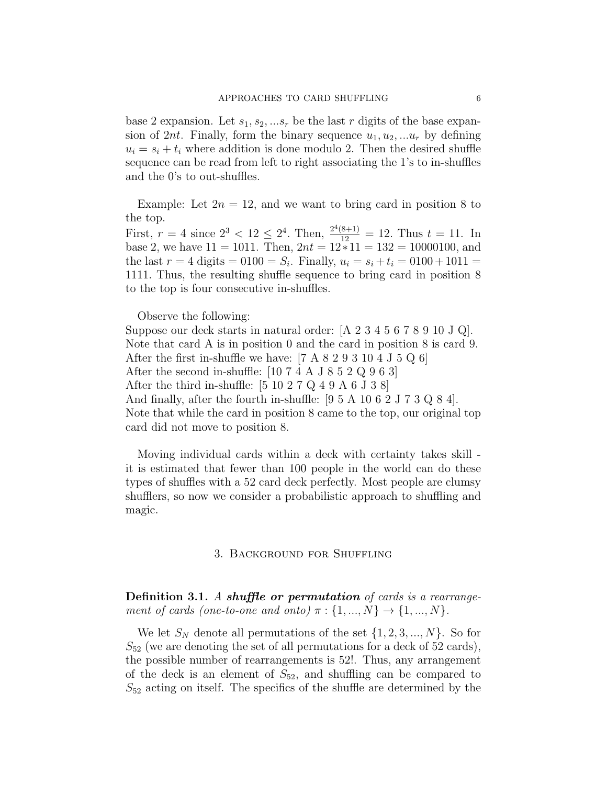base 2 expansion. Let  $s_1, s_2, \ldots s_r$  be the last r digits of the base expansion of 2nt. Finally, form the binary sequence  $u_1, u_2, \ldots, u_r$  by defining  $u_i = s_i + t_i$  where addition is done modulo 2. Then the desired shuffle sequence can be read from left to right associating the 1's to in-shuffles and the 0's to out-shuffles.

Example: Let  $2n = 12$ , and we want to bring card in position 8 to the top.

First,  $r = 4$  since  $2^3 < 12 \le 2^4$ . Then,  $\frac{2^4(8+1)}{12} = 12$ . Thus  $t = 11$ . In base 2, we have  $11 = 1011$ . Then,  $2nt = 12*11 = 132 = 10000100$ , and the last  $r = 4$  digits  $= 0100 = S_i$ . Finally,  $u_i = s_i + t_i = 0100 + 1011 =$ 1111. Thus, the resulting shuffle sequence to bring card in position 8 to the top is four consecutive in-shuffles.

Observe the following:

Suppose our deck starts in natural order: [A 2 3 4 5 6 7 8 9 10 J Q]. Note that card A is in position 0 and the card in position 8 is card 9. After the first in-shuffle we have:  $[7 \text{ A } 8 \text{ 2 } 9 \text{ 3 } 10 \text{ 4 } J \text{ 5 } Q \text{ 6}]$ After the second in-shuffle:  $[10 7 4 A J 8 5 2 Q 9 6 3]$ After the third in-shuffle:  $[5 10 2 7 Q 4 9 A 6 J 3 8]$ And finally, after the fourth in-shuffle: [9 5 A 10 6 2 J 7 3 Q 8 4]. Note that while the card in position 8 came to the top, our original top card did not move to position 8.

Moving individual cards within a deck with certainty takes skill it is estimated that fewer than 100 people in the world can do these types of shuffles with a 52 card deck perfectly. Most people are clumsy shufflers, so now we consider a probabilistic approach to shuffling and magic.

#### 3. Background for Shuffling

Definition 3.1. A shuffle or permutation of cards is a rearrangement of cards (one-to-one and onto)  $\pi : \{1, ..., N\} \rightarrow \{1, ..., N\}.$ 

We let  $S_N$  denote all permutations of the set  $\{1, 2, 3, ..., N\}$ . So for  $S_{52}$  (we are denoting the set of all permutations for a deck of 52 cards), the possible number of rearrangements is 52!. Thus, any arrangement of the deck is an element of  $S_{52}$ , and shuffling can be compared to  $S_{52}$  acting on itself. The specifics of the shuffle are determined by the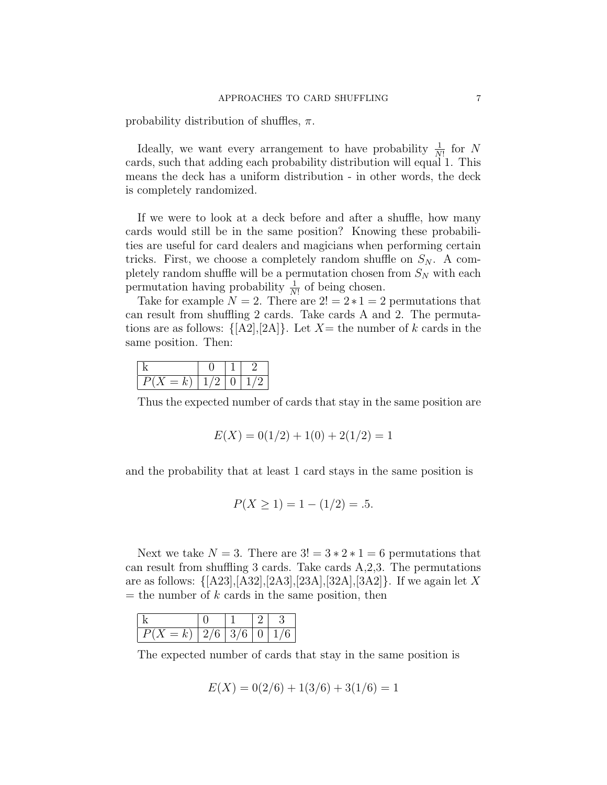probability distribution of shuffles,  $\pi$ .

Ideally, we want every arrangement to have probability  $\frac{1}{N!}$  for N cards, such that adding each probability distribution will equal 1. This means the deck has a uniform distribution - in other words, the deck is completely randomized.

If we were to look at a deck before and after a shuffle, how many cards would still be in the same position? Knowing these probabilities are useful for card dealers and magicians when performing certain tricks. First, we choose a completely random shuffle on  $S_N$ . A completely random shuffle will be a permutation chosen from  $S_N$  with each permutation having probability  $\frac{1}{N!}$  of being chosen.

Take for example  $N = 2$ . There are  $2! = 2 \times 1 = 2$  permutations that can result from shuffling 2 cards. Take cards A and 2. The permutations are as follows:  $\{[A2],[2A]\}$ . Let  $X=$  the number of k cards in the same position. Then:

| $-$<br>v | ., |  |
|----------|----|--|

Thus the expected number of cards that stay in the same position are

$$
E(X) = 0(1/2) + 1(0) + 2(1/2) = 1
$$

and the probability that at least 1 card stays in the same position is

$$
P(X \ge 1) = 1 - (1/2) = .5.
$$

Next we take  $N = 3$ . There are  $3! = 3 \times 2 \times 1 = 6$  permutations that can result from shuffling 3 cards. Take cards A,2,3. The permutations are as follows:  $\{[A23], [A32], [2A3], [23A], [32A], [3A2]\}.$  If we again let X  $=$  the number of k cards in the same position, then

| P(X)<br>$=$ $\overline{ }$<br>ıv | 12/6 | $13/6$   0 |  |
|----------------------------------|------|------------|--|

The expected number of cards that stay in the same position is

$$
E(X) = 0(2/6) + 1(3/6) + 3(1/6) = 1
$$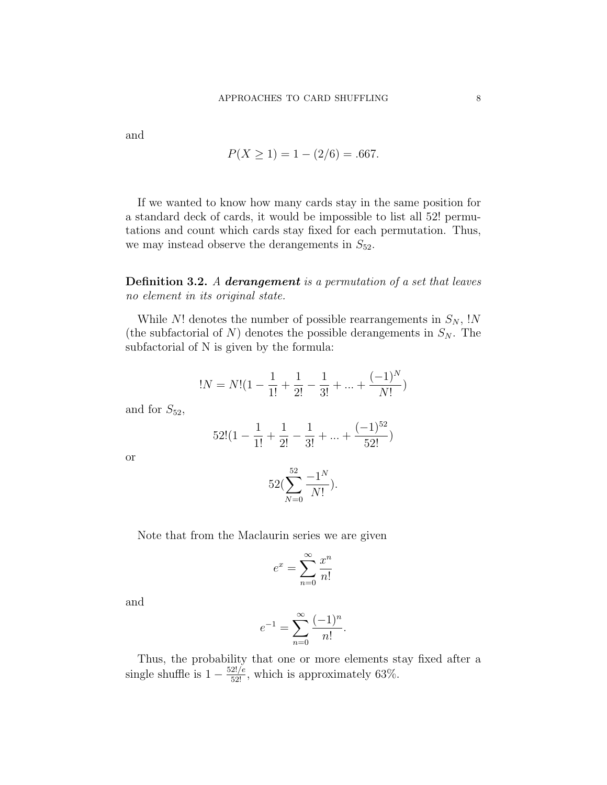and

$$
P(X \ge 1) = 1 - (2/6) = .667.
$$

If we wanted to know how many cards stay in the same position for a standard deck of cards, it would be impossible to list all 52! permutations and count which cards stay fixed for each permutation. Thus, we may instead observe the derangements in  $S_{52}$ .

Definition 3.2. A derangement is a permutation of a set that leaves no element in its original state.

While  $N!$  denotes the number of possible rearrangements in  $S_N$ , !N (the subfactorial of  $N$ ) denotes the possible derangements in  $S_N$ . The subfactorial of N is given by the formula:

$$
!N = N!(1 - \frac{1}{1!} + \frac{1}{2!} - \frac{1}{3!} + \dots + \frac{(-1)^N}{N!})
$$

and for  $S_{52}$ ,

$$
52!(1 - \frac{1}{1!} + \frac{1}{2!} - \frac{1}{3!} + \dots + \frac{(-1)^{52}}{52!})
$$

or

$$
52(\sum_{N=0}^{52} \frac{-1^N}{N!}).
$$

Note that from the Maclaurin series we are given

$$
e^x = \sum_{n=0}^{\infty} \frac{x^n}{n!}
$$

and

$$
e^{-1} = \sum_{n=0}^{\infty} \frac{(-1)^n}{n!}.
$$

Thus, the probability that one or more elements stay fixed after a single shuffle is  $1 - \frac{52!}{52!}$ , which is approximately 63%.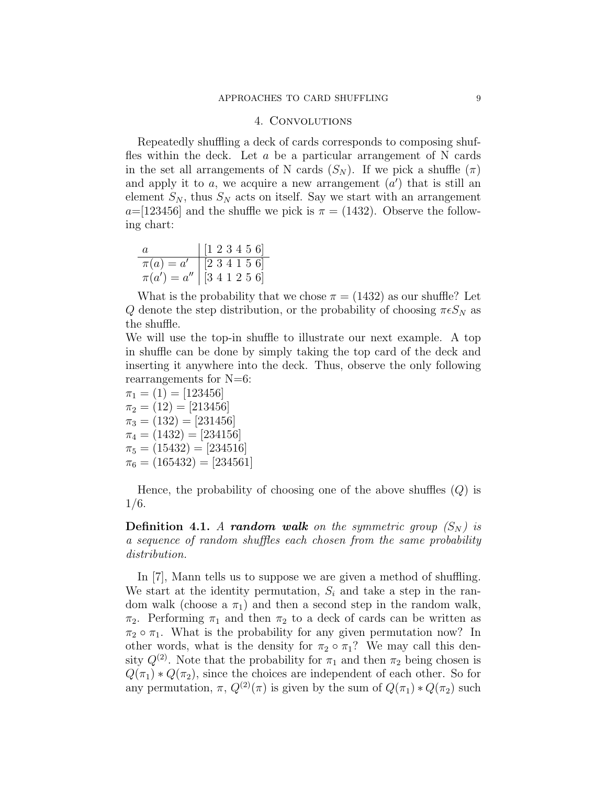## 4. Convolutions

Repeatedly shuffling a deck of cards corresponds to composing shuffles within the deck. Let  $a$  be a particular arrangement of N cards in the set all arrangements of N cards  $(S_N)$ . If we pick a shuffle  $(\pi)$ and apply it to  $a$ , we acquire a new arrangement  $(a')$  that is still an element  $S_N$ , thus  $S_N$  acts on itself. Say we start with an arrangement  $a=[123456]$  and the shuffle we pick is  $\pi=(1432)$ . Observe the following chart:

| $\alpha$ | $\begin{bmatrix} 1 & 2 & 3 & 4 & 5 & 6 \end{bmatrix}$ |
|----------|-------------------------------------------------------|
|          | $\pi(a) = a' \mid [2 \ 3 \ 4 \ 1 \ 5 \ 6]$            |
|          | $\pi(a') = a''$   [3 4 1 2 5 6]                       |

What is the probability that we chose  $\pi = (1432)$  as our shuffle? Let Q denote the step distribution, or the probability of choosing  $\pi \epsilon S_N$  as the shuffle.

We will use the top-in shuffle to illustrate our next example. A top in shuffle can be done by simply taking the top card of the deck and inserting it anywhere into the deck. Thus, observe the only following rearrangements for N=6:

 $\pi_1 = (1) = [123456]$  $\pi_2 = (12) = [213456]$  $\pi_3 = (132) = [231456]$  $\pi_4 = (1432) = [234156]$  $\pi_5 = (15432) = [234516]$  $\pi_6 = (165432) = [234561]$ 

Hence, the probability of choosing one of the above shuffles  $(Q)$  is 1/6.

**Definition 4.1.** A random walk on the symmetric group  $(S_N)$  is a sequence of random shuffles each chosen from the same probability distribution.

In [7], Mann tells us to suppose we are given a method of shuffling. We start at the identity permutation,  $S_i$  and take a step in the random walk (choose a  $\pi_1$ ) and then a second step in the random walk,  $\pi_2$ . Performing  $\pi_1$  and then  $\pi_2$  to a deck of cards can be written as  $\pi_2 \circ \pi_1$ . What is the probability for any given permutation now? In other words, what is the density for  $\pi_2 \circ \pi_1$ ? We may call this density  $Q^{(2)}$ . Note that the probability for  $\pi_1$  and then  $\pi_2$  being chosen is  $Q(\pi_1) * Q(\pi_2)$ , since the choices are independent of each other. So for any permutation,  $\pi$ ,  $Q^{(2)}(\pi)$  is given by the sum of  $Q(\pi_1) * Q(\pi_2)$  such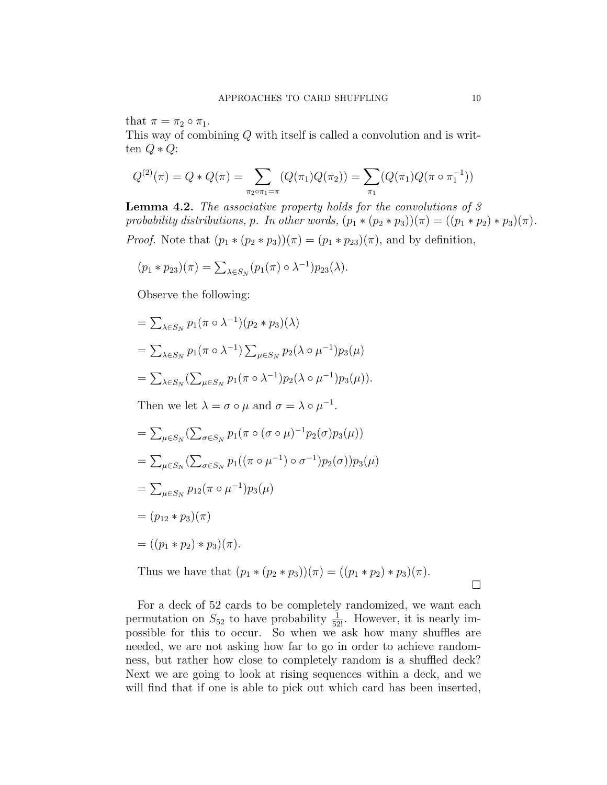that  $\pi = \pi_2 \circ \pi_1$ .

This way of combining Q with itself is called a convolution and is written  $Q \ast Q$ :

$$
Q^{(2)}(\pi) = Q * Q(\pi) = \sum_{\pi_2 \circ \pi_1 = \pi} (Q(\pi_1)Q(\pi_2)) = \sum_{\pi_1} (Q(\pi_1)Q(\pi \circ \pi_1^{-1}))
$$

**Lemma 4.2.** The associative property holds for the convolutions of  $\beta$ probability distributions, p. In other words,  $(p_1 * (p_2 * p_3))(\pi) = ((p_1 * p_2) * p_3)(\pi)$ . *Proof.* Note that  $(p_1 * (p_2 * p_3))(\pi) = (p_1 * p_{23})(\pi)$ , and by definition,

$$
(p_1 * p_{23})(\pi) = \sum_{\lambda \in S_N} (p_1(\pi) \circ \lambda^{-1}) p_{23}(\lambda).
$$

Observe the following:

$$
= \sum_{\lambda \in S_N} p_1(\pi \circ \lambda^{-1})(p_2 * p_3)(\lambda)
$$
  
= 
$$
\sum_{\lambda \in S_N} p_1(\pi \circ \lambda^{-1}) \sum_{\mu \in S_N} p_2(\lambda \circ \mu^{-1}) p_3(\mu)
$$
  
= 
$$
\sum_{\lambda \in S_N} (\sum_{\mu \in S_N} p_1(\pi \circ \lambda^{-1}) p_2(\lambda \circ \mu^{-1}) p_3(\mu)).
$$

Then we let  $\lambda = \sigma \circ \mu$  and  $\sigma = \lambda \circ \mu^{-1}$ .

$$
= \sum_{\mu \in S_N} (\sum_{\sigma \in S_N} p_1(\pi \circ (\sigma \circ \mu)^{-1} p_2(\sigma) p_3(\mu))
$$
  
\n
$$
= \sum_{\mu \in S_N} (\sum_{\sigma \in S_N} p_1((\pi \circ \mu^{-1}) \circ \sigma^{-1}) p_2(\sigma)) p_3(\mu)
$$
  
\n
$$
= \sum_{\mu \in S_N} p_{12}(\pi \circ \mu^{-1}) p_3(\mu)
$$
  
\n
$$
= (p_{12} * p_3)(\pi)
$$
  
\n
$$
= ((p_1 * p_2) * p_3)(\pi).
$$

Thus we have that  $(p_1 * (p_2 * p_3))(\pi) = ((p_1 * p_2) * p_3)(\pi)$ .

 $\Box$ 

For a deck of 52 cards to be completely randomized, we want each permutation on  $S_{52}$  to have probability  $\frac{1}{52!}$ . However, it is nearly impossible for this to occur. So when we ask how many shuffles are needed, we are not asking how far to go in order to achieve randomness, but rather how close to completely random is a shuffled deck? Next we are going to look at rising sequences within a deck, and we will find that if one is able to pick out which card has been inserted,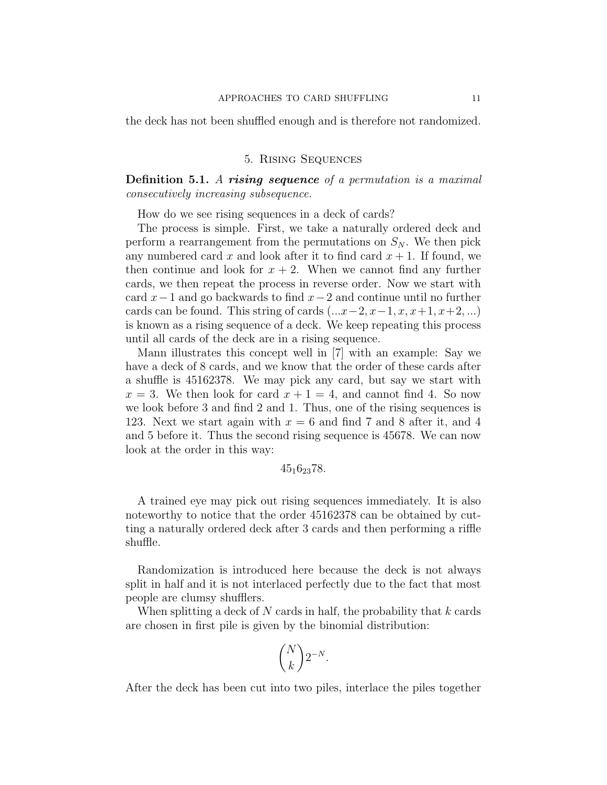the deck has not been shuffled enough and is therefore not randomized.

## 5. Rising Sequences

**Definition 5.1.** A rising sequence of a permutation is a maximal consecutively increasing subsequence.

How do we see rising sequences in a deck of cards?

The process is simple. First, we take a naturally ordered deck and perform a rearrangement from the permutations on  $S_N$ . We then pick any numbered card x and look after it to find card  $x + 1$ . If found, we then continue and look for  $x + 2$ . When we cannot find any further cards, we then repeat the process in reverse order. Now we start with card  $x-1$  and go backwards to find  $x-2$  and continue until no further cards can be found. This string of cards  $(...x-2,x-1,x,x+1,x+2,...)$ is known as a rising sequence of a deck. We keep repeating this process until all cards of the deck are in a rising sequence.

Mann illustrates this concept well in [7] with an example: Say we have a deck of 8 cards, and we know that the order of these cards after a shuffle is 45162378. We may pick any card, but say we start with  $x = 3$ . We then look for card  $x + 1 = 4$ , and cannot find 4. So now we look before 3 and find 2 and 1. Thus, one of the rising sequences is 123. Next we start again with  $x = 6$  and find 7 and 8 after it, and 4 and 5 before it. Thus the second rising sequence is 45678. We can now look at the order in this way:

## 45162378.

A trained eye may pick out rising sequences immediately. It is also noteworthy to notice that the order 45162378 can be obtained by cutting a naturally ordered deck after 3 cards and then performing a riffle shuffle.

Randomization is introduced here because the deck is not always split in half and it is not interlaced perfectly due to the fact that most people are clumsy shufflers.

When splitting a deck of N cards in half, the probability that  $k$  cards are chosen in first pile is given by the binomial distribution:

$$
\binom{N}{k} 2^{-N}.
$$

After the deck has been cut into two piles, interlace the piles together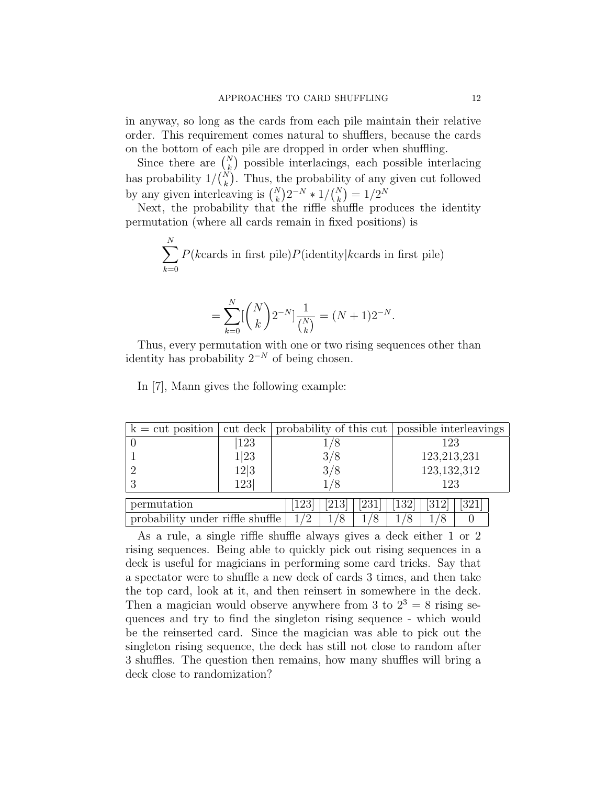in anyway, so long as the cards from each pile maintain their relative order. This requirement comes natural to shufflers, because the cards on the bottom of each pile are dropped in order when shuffling.

Since there are  $\binom{N}{k}$  possible interlacings, each possible interlacing has probability  $1/{N \choose k}$ . Thus, the probability of any given cut followed by any given interleaving is  $\binom{N}{k} 2^{-N} * 1/\binom{N}{k} = 1/2^N$ 

Next, the probability that the riffle shuffle produces the identity permutation (where all cards remain in fixed positions) is

$$
\sum_{k=0}^{N} P(k \text{cards in first pile}) P(\text{identity}|k \text{cards in first pile})
$$

$$
= \sum_{k=0}^{N} \left[ \binom{N}{k} 2^{-N} \right] \frac{1}{\binom{N}{k}} = (N+1) 2^{-N}.
$$

Thus, every permutation with one or two rising sequences other than identity has probability  $2^{-N}$  of being chosen.

In [7], Mann gives the following example:

| $k = \text{cut position}$        |      | cut deck   probability of this cut   possible interleavings |     |     |               |             |     |  |  |
|----------------------------------|------|-------------------------------------------------------------|-----|-----|---------------|-------------|-----|--|--|
|                                  | 123  | 1/8                                                         |     |     |               | 123         |     |  |  |
|                                  | 1 23 | 3/8                                                         |     |     |               | 123,213,231 |     |  |  |
|                                  | 12 3 | 3/8                                                         |     |     | 123, 132, 312 |             |     |  |  |
|                                  | 123  | 1/8                                                         |     | 123 |               |             |     |  |  |
| permutation                      |      | 123 <sup>1</sup>                                            | 213 | 231 | 132           | 312         | 321 |  |  |
|                                  |      |                                                             |     |     |               |             |     |  |  |
| probability under riffle shuffle |      | 1/2                                                         | '8  |     |               |             |     |  |  |

As a rule, a single riffle shuffle always gives a deck either 1 or 2 rising sequences. Being able to quickly pick out rising sequences in a deck is useful for magicians in performing some card tricks. Say that a spectator were to shuffle a new deck of cards 3 times, and then take the top card, look at it, and then reinsert in somewhere in the deck. Then a magician would observe anywhere from 3 to  $2^3 = 8$  rising sequences and try to find the singleton rising sequence - which would be the reinserted card. Since the magician was able to pick out the singleton rising sequence, the deck has still not close to random after 3 shuffles. The question then remains, how many shuffles will bring a deck close to randomization?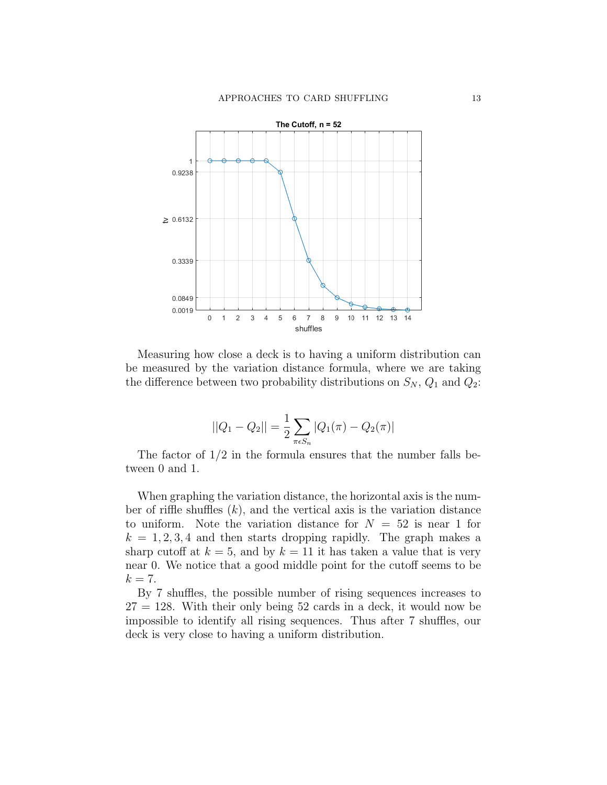

Measuring how close a deck is to having a uniform distribution can be measured by the variation distance formula, where we are taking the difference between two probability distributions on  $S_N$ ,  $Q_1$  and  $Q_2$ :

$$
||Q_1 - Q_2|| = \frac{1}{2} \sum_{\pi \in S_n} |Q_1(\pi) - Q_2(\pi)|
$$

The factor of 1/2 in the formula ensures that the number falls between 0 and 1.

When graphing the variation distance, the horizontal axis is the number of riffle shuffles  $(k)$ , and the vertical axis is the variation distance to uniform. Note the variation distance for  $N = 52$  is near 1 for  $k = 1, 2, 3, 4$  and then starts dropping rapidly. The graph makes a sharp cutoff at  $k = 5$ , and by  $k = 11$  it has taken a value that is very near 0. We notice that a good middle point for the cutoff seems to be  $k=7$ .

By 7 shuffles, the possible number of rising sequences increases to  $27 = 128$ . With their only being 52 cards in a deck, it would now be impossible to identify all rising sequences. Thus after 7 shuffles, our deck is very close to having a uniform distribution.